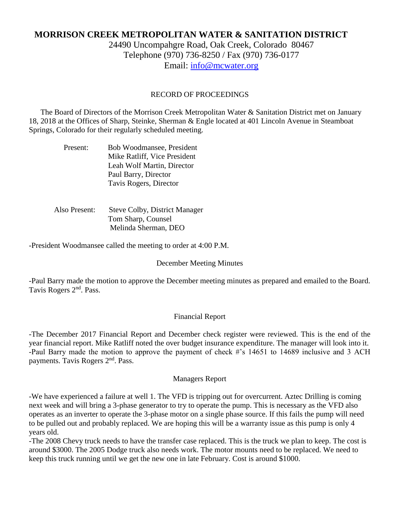# **MORRISON CREEK METROPOLITAN WATER & SANITATION DISTRICT**

24490 Uncompahgre Road, Oak Creek, Colorado 80467 Telephone (970) 736-8250 / Fax (970) 736-0177 Email: [info@mcwater.org](mailto:info@mcwater.org)

#### RECORD OF PROCEEDINGS

 The Board of Directors of the Morrison Creek Metropolitan Water & Sanitation District met on January 18, 2018 at the Offices of Sharp, Steinke, Sherman & Engle located at 401 Lincoln Avenue in Steamboat Springs, Colorado for their regularly scheduled meeting.

| Present: | Bob Woodmansee, President    |
|----------|------------------------------|
|          | Mike Ratliff, Vice President |
|          | Leah Wolf Martin, Director   |
|          | Paul Barry, Director         |
|          | Tavis Rogers, Director       |

 Also Present: Steve Colby, District Manager Tom Sharp, Counsel Melinda Sherman, DEO

-President Woodmansee called the meeting to order at 4:00 P.M.

#### December Meeting Minutes

-Paul Barry made the motion to approve the December meeting minutes as prepared and emailed to the Board. Tavis Rogers 2nd. Pass.

#### Financial Report

-The December 2017 Financial Report and December check register were reviewed. This is the end of the year financial report. Mike Ratliff noted the over budget insurance expenditure. The manager will look into it. -Paul Barry made the motion to approve the payment of check #'s 14651 to 14689 inclusive and 3 ACH payments. Tavis Rogers 2nd. Pass.

#### Managers Report

-We have experienced a failure at well 1. The VFD is tripping out for overcurrent. Aztec Drilling is coming next week and will bring a 3-phase generator to try to operate the pump. This is necessary as the VFD also operates as an inverter to operate the 3-phase motor on a single phase source. If this fails the pump will need to be pulled out and probably replaced. We are hoping this will be a warranty issue as this pump is only 4 years old.

-The 2008 Chevy truck needs to have the transfer case replaced. This is the truck we plan to keep. The cost is around \$3000. The 2005 Dodge truck also needs work. The motor mounts need to be replaced. We need to keep this truck running until we get the new one in late February. Cost is around \$1000.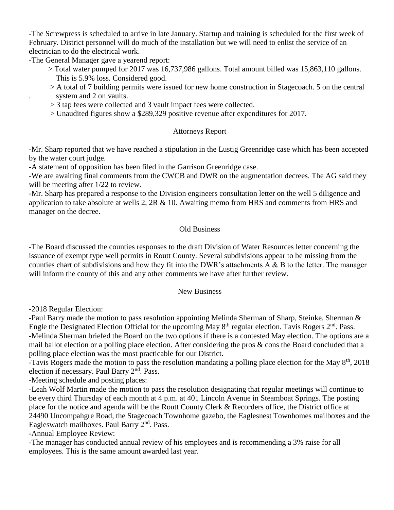-The Screwpress is scheduled to arrive in late January. Startup and training is scheduled for the first week of February. District personnel will do much of the installation but we will need to enlist the service of an electrician to do the electrical work.

-The General Manager gave a yearend report:

- > Total water pumped for 2017 was 16,737,986 gallons. Total amount billed was 15,863,110 gallons. This is 5.9% loss. Considered good.
- > A total of 7 building permits were issued for new home construction in Stagecoach. 5 on the central system and 2 on vaults.
- > 3 tap fees were collected and 3 vault impact fees were collected.
- > Unaudited figures show a \$289,329 positive revenue after expenditures for 2017.

## Attorneys Report

-Mr. Sharp reported that we have reached a stipulation in the Lustig Greenridge case which has been accepted by the water court judge.

-A statement of opposition has been filed in the Garrison Greenridge case.

-We are awaiting final comments from the CWCB and DWR on the augmentation decrees. The AG said they will be meeting after  $1/22$  to review.

-Mr. Sharp has prepared a response to the Division engineers consultation letter on the well 5 diligence and application to take absolute at wells 2,  $2R \& 10$ . Awaiting memo from HRS and comments from HRS and manager on the decree.

## Old Business

-The Board discussed the counties responses to the draft Division of Water Resources letter concerning the issuance of exempt type well permits in Routt County. Several subdivisions appear to be missing from the counties chart of subdivisions and how they fit into the DWR's attachments  $A \& B$  to the letter. The manager will inform the county of this and any other comments we have after further review.

### New Business

-2018 Regular Election:

-Paul Barry made the motion to pass resolution appointing Melinda Sherman of Sharp, Steinke, Sherman & Engle the Designated Election Official for the upcoming May 8<sup>th</sup> regular election. Tavis Rogers 2<sup>nd</sup>. Pass. -Melinda Sherman briefed the Board on the two options if there is a contested May election. The options are a mail ballot election or a polling place election. After considering the pros & cons the Board concluded that a polling place election was the most practicable for our District.

-Tavis Rogers made the motion to pass the resolution mandating a polling place election for the May  $8<sup>th</sup>$ , 2018 election if necessary. Paul Barry 2<sup>nd</sup>. Pass.

-Meeting schedule and posting places:

-Leah Wolf Martin made the motion to pass the resolution designating that regular meetings will continue to be every third Thursday of each month at 4 p.m. at 401 Lincoln Avenue in Steamboat Springs. The posting place for the notice and agenda will be the Routt County Clerk & Recorders office, the District office at 24490 Uncompahgre Road, the Stagecoach Townhome gazebo, the Eaglesnest Townhomes mailboxes and the Eagleswatch mailboxes. Paul Barry 2<sup>nd</sup>. Pass.

-Annual Employee Review:

-The manager has conducted annual review of his employees and is recommending a 3% raise for all employees. This is the same amount awarded last year.